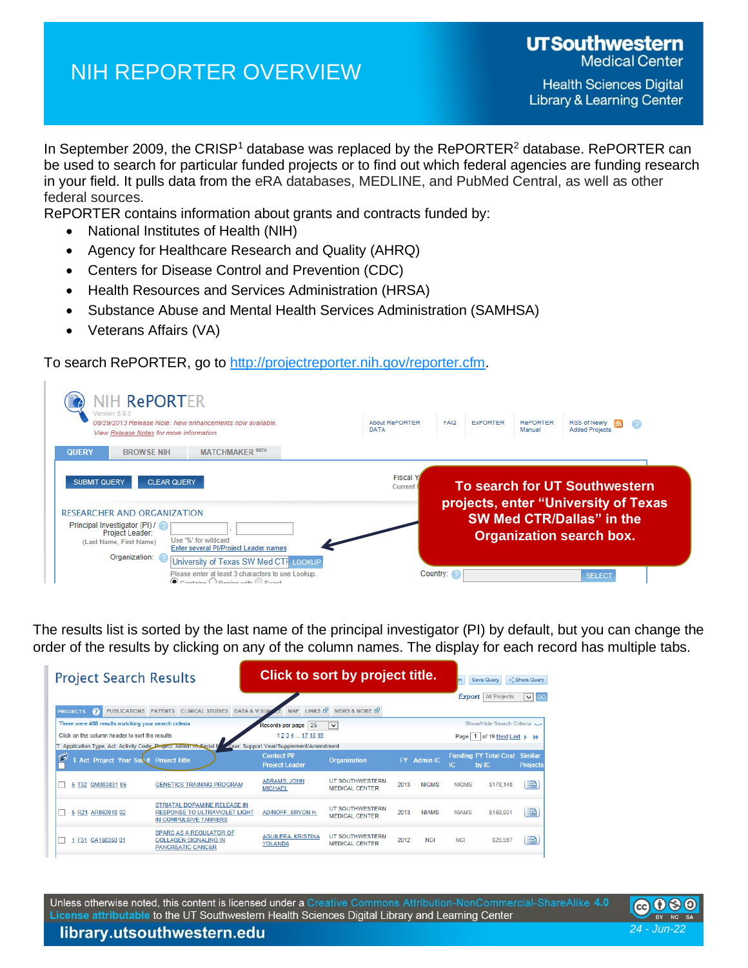# NIH REPORTER OVERVIEW

**Health Sciences Digital Library & Learning Center** 

In September 2009, the CRISP<sup>1</sup> database was replaced by the RePORTER<sup>2</sup> database. RePORTER can be used to search for particular funded projects or to find out which federal agencies are funding research in your field. It pulls data from the eRA databases, MEDLINE, and PubMed Central, as well as other federal sources.

RePORTER contains information about grants and contracts funded by:

- National Institutes of Health (NIH)
- Agency for Healthcare Research and Quality (AHRQ)
- Centers for Disease Control and Prevention (CDC)
- Health Resources and Services Administration (HRSA)
- Substance Abuse and Mental Health Services Administration (SAMHSA)
- Veterans Affairs (VA)

To search RePORTER, go to [http://projectreporter.nih.gov/reporter.cfm.](http://projectreporter.nih.gov/reporter.cfm)



The results list is sorted by the last name of the principal investigator (PI) by default, but you can change the order of the results by clicking on any of the column names. The display for each record has multiple tabs.

| <b>Project Search Results</b>                                                                                                                            | Click to sort by project title.                |                                                 |      |                 |               | Save Query                            | Share Query                       |  |  |  |  |
|----------------------------------------------------------------------------------------------------------------------------------------------------------|------------------------------------------------|-------------------------------------------------|------|-----------------|---------------|---------------------------------------|-----------------------------------|--|--|--|--|
|                                                                                                                                                          |                                                |                                                 |      |                 | <b>Export</b> | <b>All Projects</b>                   | $\triangledown$ GO                |  |  |  |  |
| LINKS <sub>R</sub><br>NEWS & MORE E<br><b>MAP</b><br>PATENTS CLINICAL STUDIES<br><b>DATA &amp; VISUAL</b><br><b>PUBLICATIONS</b><br><b>PROJECTS</b><br>ø |                                                |                                                 |      |                 |               |                                       |                                   |  |  |  |  |
| There were 468 results matching your search criteria.                                                                                                    | 25<br>Records per page                         | $\ddot{\phantom{1}}$                            |      |                 |               | Show/Hide Search Criteria             |                                   |  |  |  |  |
| Click on the column header to sort the results                                                                                                           | 1234171819                                     |                                                 |      |                 |               | Page 1 of 19 Next Last >              | <b>M</b>                          |  |  |  |  |
| T: Application Type; Act: Activity Code: Project: Admin 16, Serial M                                                                                     | <b>Zear: Support Year/Supplement/Amendment</b> |                                                 |      |                 |               |                                       |                                   |  |  |  |  |
| وسطح<br>Act Project Year Sub # Project Title                                                                                                             | <b>Contact Pl/</b><br><b>Project Leader</b>    | Organization                                    | FY.  | <b>Admin IC</b> | IC            | <b>Funding FY Total Cost</b><br>by IC | <b>Similar</b><br><b>Projects</b> |  |  |  |  |
| <b>GENETICS TRAINING PROGRAM</b><br>5 T32 GM083831 05                                                                                                    | <b>ABRAMS, JOHN</b><br><b>MICHAEL</b>          | <b>UT SOUTHWESTERN</b><br><b>MEDICAL CENTER</b> | 2013 | <b>NIGMS</b>    | <b>NIGMS</b>  | \$178,148                             | B                                 |  |  |  |  |
| STRIATAL DOPAMINE RELEASE IN<br>AR063018 02<br><b>RESPONSE TO ULTRAVIOLET LIGHT</b><br>5<br><b>R21</b><br>IN COMPULSIVE TANNERS                          | <b>ADINOFF, BRYON H.</b>                       | UT SOUTHWESTERN<br><b>MEDICAL CENTER</b>        | 2013 | <b>NIAMS</b>    | <b>NIAMS</b>  | \$169,931                             | B                                 |  |  |  |  |
| <b>SPARC AS A REGULATOR OF</b><br><b>COLLAGEN SIGNALING IN</b><br>CA168350 01<br>F31<br><b>PANCREATIC CANCER</b>                                         | <b>AGUILERA, KRISTINA</b><br><b>YOLANDA</b>    | <b>UT SOUTHWESTERN</b><br><b>MEDICAL CENTER</b> | 2012 | <b>NCI</b>      | <b>NCI</b>    | \$29,597                              | B                                 |  |  |  |  |

Unless otherwise noted, this content is licensed under a Creative Commons Attribution-NonCommercial-ShareAlike 4.0 License attributable to the UT Southwestern Health Sciences Digital Library and Learning Center



library.utsouthwestern.edu